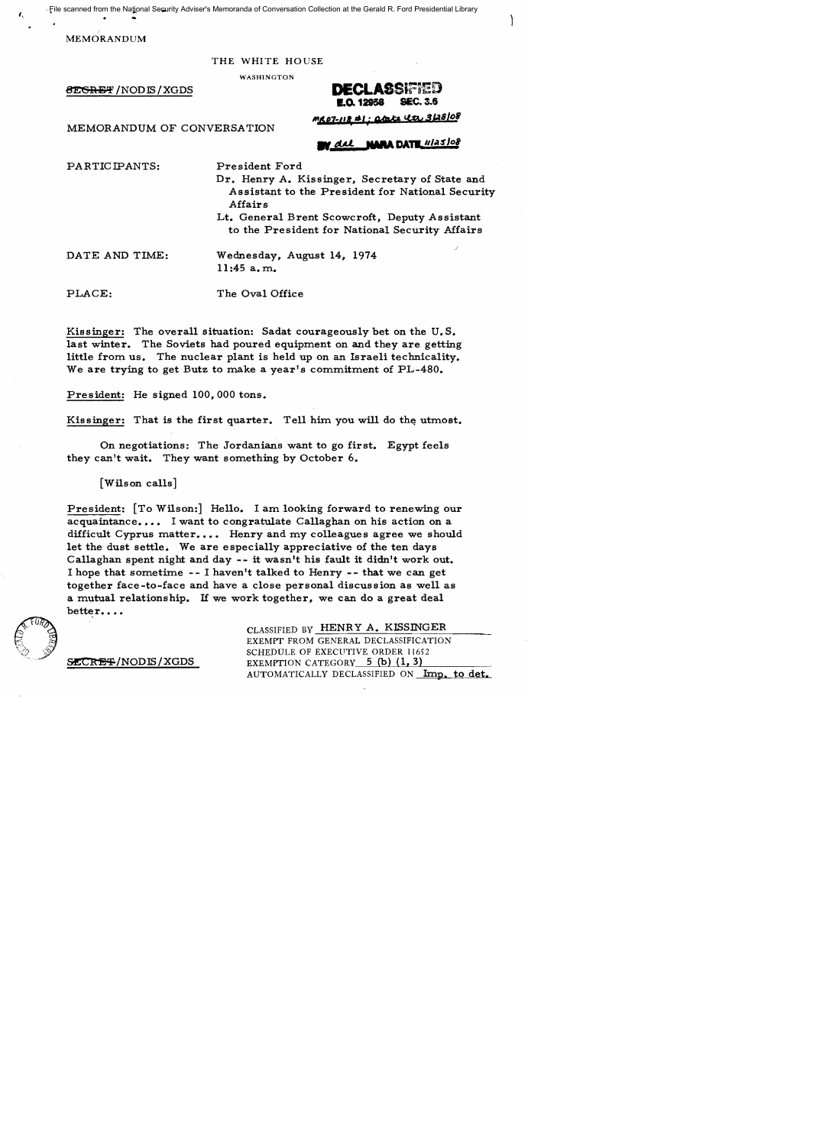File scanned from the National Security Adviser's Memoranda of Conversation Collection at the Gerald R. Ford Presidential Library

MEMORANDUM

I,

THE WHITE HOUSE

WASHINGTON

THE WHITE HOUSE<br>
WASHINGTON<br> **DECLASSIFIED**<br> **DECLASSIFIED 1.0. 12958** 

MEMORANDUM OF CONVERSATION

'"In-II, *.'i* Qr:OkCi+ *tI.py* !I(.J8/*o*<sup>f</sup>

# **BY del NARA DATE 11/25/08**

PARTICIPANTS:

President Ford Dr. Henry A. Kissinger, Secretary of State and Assistant to the President for National Security

Affairs Lt. General Brent Scowcroft, Deputy Assistant to the President for National Security Affairs

DATE AND TIME:

Wednesday, August 14, 1974 11:45 a. m.

PLACE: The Oval Office

Kissinger: The overall situation: Sadat courageously bet on the U. S. last winter. The Soviets had poured equipment on and they are getting little from us. The nuclear plant is held up on an Israeli technicality. We are trying to get Butz to make a year's commitment of PL-480.

President: He signed 100,000 tons.

Kissinger: That is the first quarter. Tell him you will do the utmost.

On negotiations: The Jordanians want to go first. Egypt feels they can't wait. They want something by October 6.

[Wilson calls]

President: [To Wilson:] Hello. I am looking forward to renewing our acquaintance.... I want to congratulate Callaghan on his action on a difficult Cyprus matter.... Henry and my colleagues agree we should let the dust settle. We are especially appreciative of the ten days Callaghan spent night and day -- it wasn't his fault it didn't work out. I hope that sometime - - I haven't talked to Henry - - that we can get together face-to-face and have a close personal discussion as well as a mutual relationship. If we work together, we can do a great deal better...



SLCRET/NODIS/XGDS

CLASSIFIED BY HENRY A. KISSINGER EXEMPT FROM GENERAL DECLASSIFICATION SCHEDULE OF EXECUTIVE ORDER 11652 EXEMPTION CATEGORY  $5$  (b)  $(1, 3)$ AUTOMATICALLY DECLASSIFIED ON Imp. to det.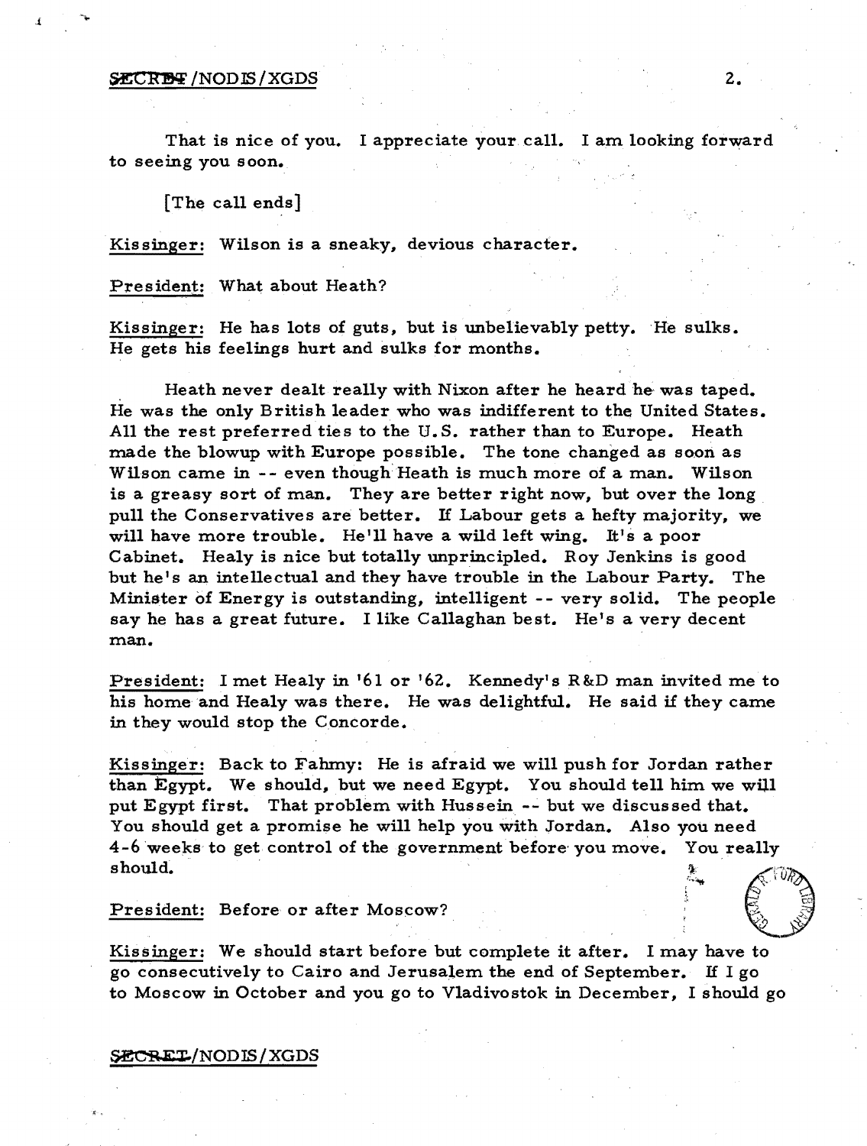## $SECRBF/NODIS/XGDS$  2.

,{

That is nice of you. I appreciate your call. I am looking forward to seeing you soon.

[The call ends]

Kissinger: Wilson is a sneaky, devious character.

President: What about Heath?

Kissinger: He has lots of guts, but is unbelievably petty. He sulks. He gets his feelings hurt and sulks for months.

Heath never dealt really with Nixon after he heard he was taped. He was the only British leader who was indifferent to the United States. All the rest preferred ties to the U. S. rather than to Europe. Heath made the blowup with Europe possible. The tone changed as soon as Wilson came in -- even though Heath is much more of a man. Wilson is a greasy sort of man. They are better right now, but over the long pull the Conservatives are better. If Labour gets a hefty majority, we will have more trouble. He'll have a wild left wing. It's a poor Cabinet. Healy is nice but totally unprincipled. Roy Jenkins is good but he's an intellectual and they have trouble in the Labour Party. The Minister 6f Energy is outstanding, intelligent -- very solid. The people say he has a great future. I like Callaghan best. He's a very decent man.

President: I met Healy in '61 or '62. Kennedy's R&D man invited me to his home and Healy was there. He was delightful. He said if they came in they would stop the Concorde.

Kissinger: Back to Fahmy: He is afraid we will push for Jordan rather than Egypt. We should, but we need Egypt. You should tell him we will put Egypt first. That problem with Hussein -- but we discussed that. You should get a promise he will help you with Jordan. Also you need 4-6 weeks' to get control of the government before- you move. You really  $\mathbf{s}$  hould.  $\epsilon_{\rm{max}}$ 

President: Before or after Moscow?

Kissinger: We should start before but complete it after. I may have to go consecutively to Cairo and Jerusalem the end of September. If I go to Moscow in October and you go to Vladivostok in December, I should go

# SECRET/NODIS/XGDS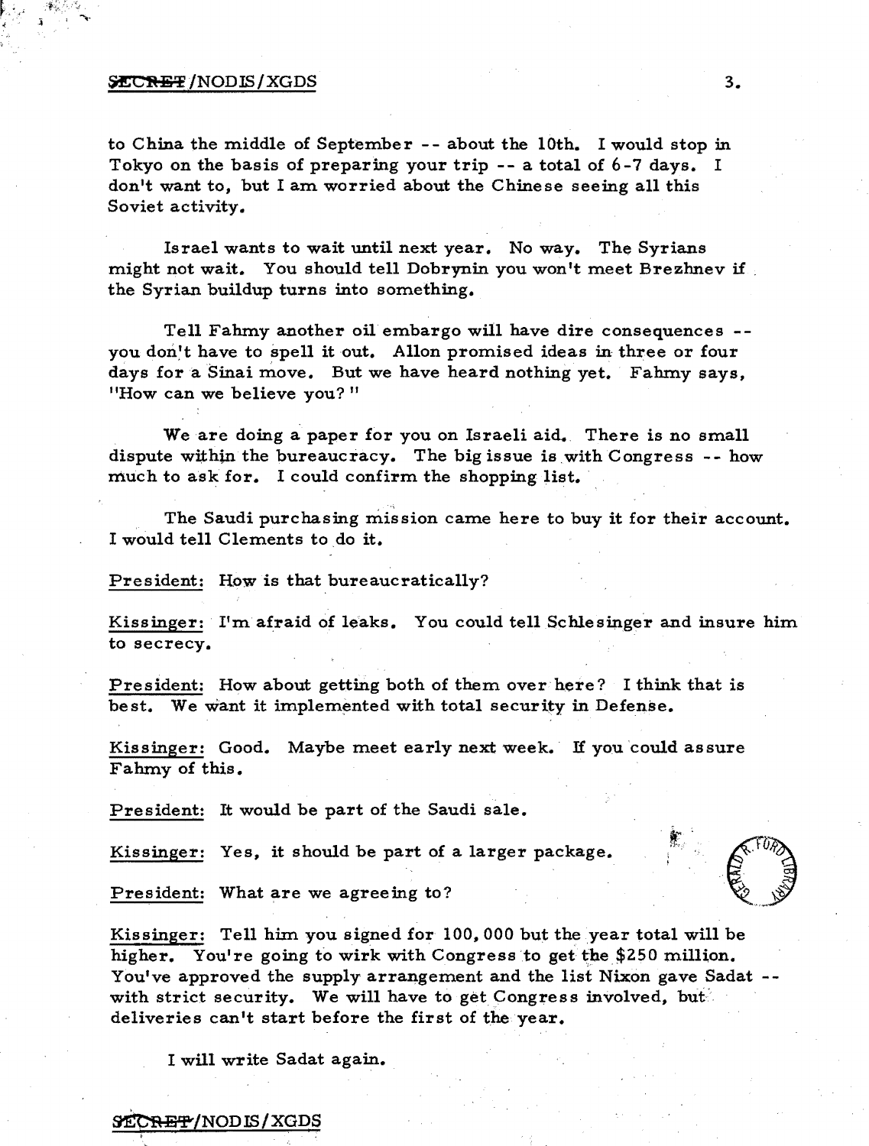### ~/NODIS/XGDS 3.

to China the middle of September **--** about the 10th. I would stop in Tokyo on the basis of preparing your trip **--** a total of 6-7 days. I don't want to, but I am worried about the Chinese seeing all this Soviet activity.

Israel wants to wait until next year. No way. The Syrians might not wait. You should tell Dobrynin you won't meet Brezhnev if . the Syrian buildup turns into something.

Tell Fahmy another oil embargo will have dire consequences you don't have to spell it out. Allon promised ideas in three or four days for a Sinai move. But we have heard nothing yet. Fahmy says, "How can we believe you?"

We are doing a paper for you on Israeli aid. There is no small dispute within the bureaucracy. The big issue is with Congress  $-$ - how much to ask for. I could confirm the shopping list.

The Saudi purchasing mission came here to buy it for their account. I would tell Clements to do it.

President: How is that bureaucratically?

Kissinger: I'm afraid of leaks. You could tell Schlesinger and insure him to secrecy.

President: How about getting both of them over here? I think that is best. We want it implemented with total security in Defense.

Kissinger: Good. Maybe meet early next week. If you could assure Fahmy of this.

President: It would be part of the Saudi sale.

Kissinger: Yes, it should be part of a larger package.

President: What are we agreeing to?

Kissinger: Tell him you signed for 100,000 but the year total will be higher. You're going to wirk with Congress to get the \$250 million. You've approved the supply arrangement and the list Nixon gave Sadat - with strict security. We will have to get Congress involved, but deliveries can't start before the first of the year.

I will write Sadat again.

#### **SECRET/NODIS/XGDS**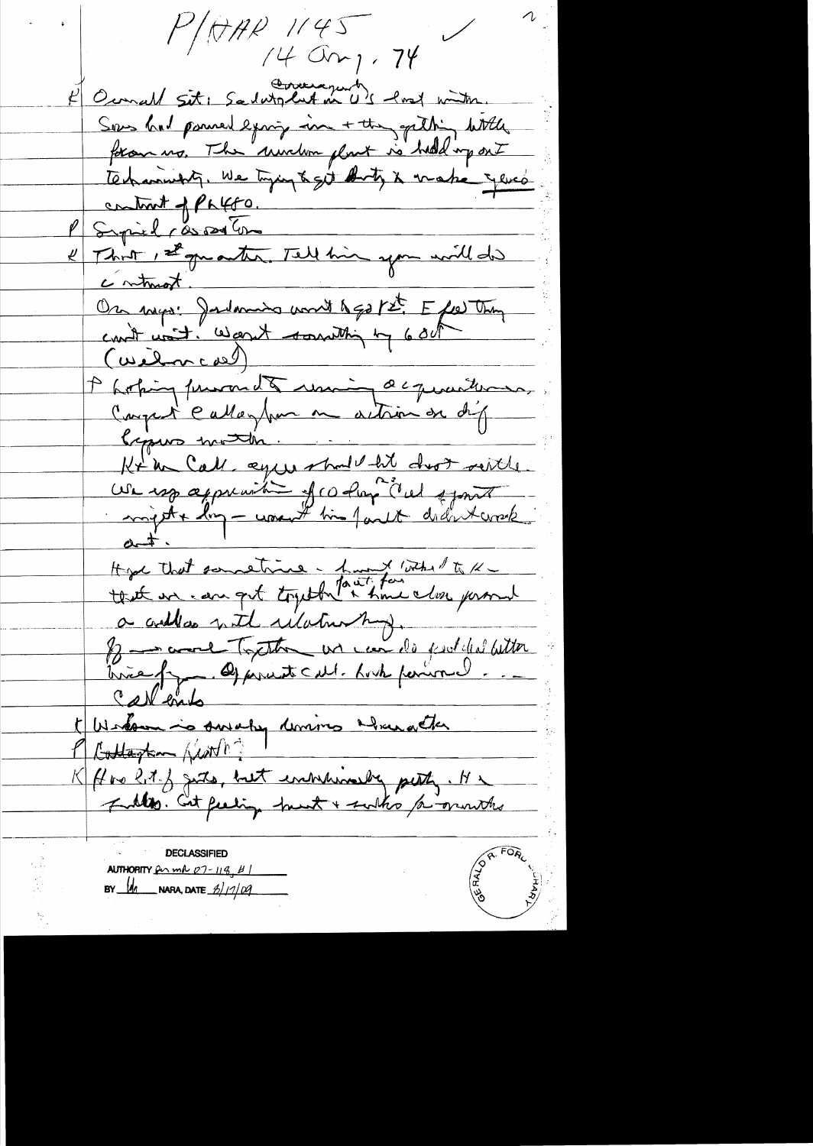$P/077P$  1145  $7400$ r, 74 Cemall Site Sadutglut in US lost with Sous had poned examp in + the gathing with foran us. The windom plant is hold up ont technischt, We tyje & git duty & make yere contrat of Palfo. Syrich responsible That, I guanter. Tell him you will did contract. On may: Jadamin wordt hap pet Efe Thy Photoing funands unique acquaitement Kysus moth. Kt in Call eque should bit drop seite. We use appreciation of color del spont Hyde that sometime - hund with to x a coelles nite rélationship. B comme Toute un comme sousided bitter Call ento I Western is sweety devives alreadeter Cottagton first ? K flow lot of gitte, but embalaimedag petty. He **DECLASSIFIED** AUTHORITY  $ln m\ 07 - 119$ ,  $H$ BY  $M$  NARA, DATE  $\frac{\frac{1}{2}}{110}$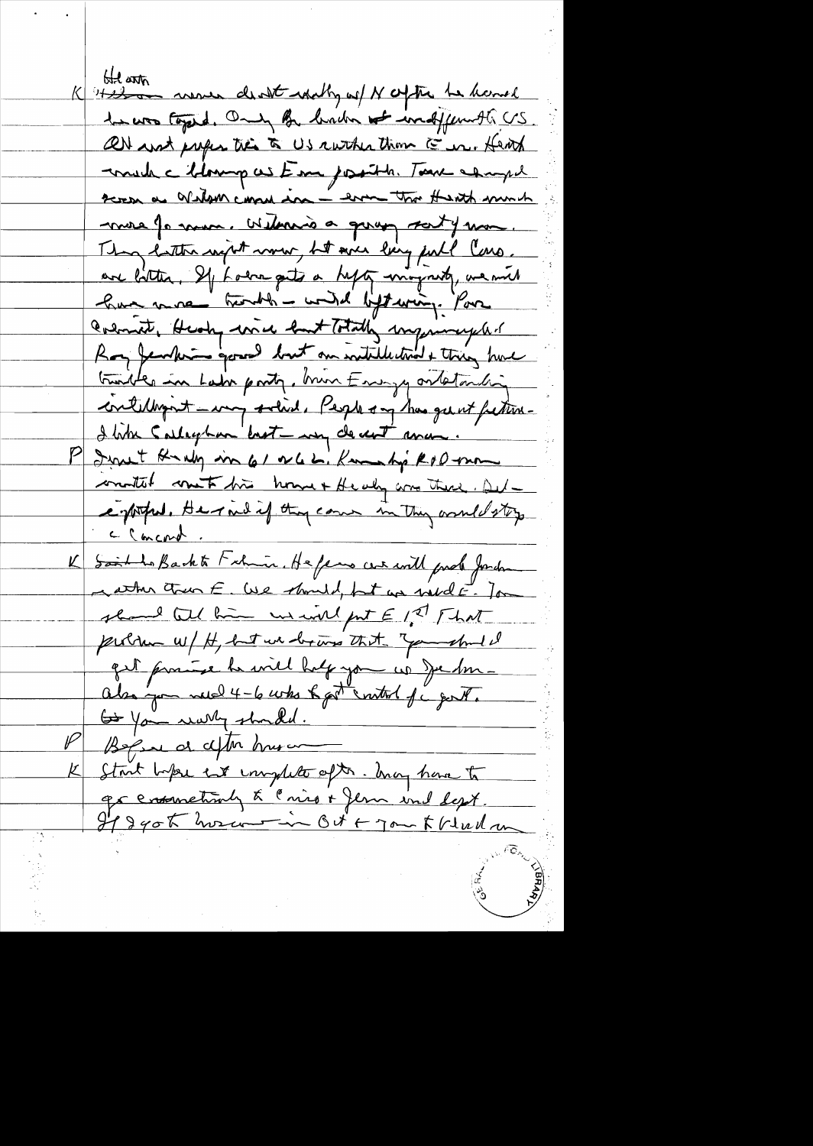He with more death what of N ofthe he handle to was toped. Only By brown to indffermith US. ON and prefer tres to US ruther than E in. Hent maide Monopus Em josith Tare esugel screa as Wedown cannot in - error that thereth much more forma. Withwis a group saty mon They hatter wight wow, ht we larg full loss. are little, If Lodra gets a help ming with, we mil have more tranhed - wind lift wing. Pour Colomate, Heady wice hast Totally improvingent Boy fearles good lost on withlestind & thing have traites in Lair porty, brun Energy ortatorching contelligent - way solid. People on has geent fection-I like Calleghan best my decent ance. I want Knaly in 61 v 62. Kamaky RoD-mon conditat cont fin home + Healy are there. All enforted, Herned if they cann in they would stop c concord K Said to Backte Filmin. He fens we will prel Jordan wather trun E. We should, but we would E. Jon should tell him we will fut E 12 That problem w/ H, but we bring that you shall quit pourre la viel half you us Jechne also you need 4-6 who hast control of c genthe Go You wanty should. Begin at all husan Start before ent implite ofthe. Any have to grensmetimly & Cnies + Jem ind Lept. Il 240 to hora -in Oct + 70 - 5 V Ul m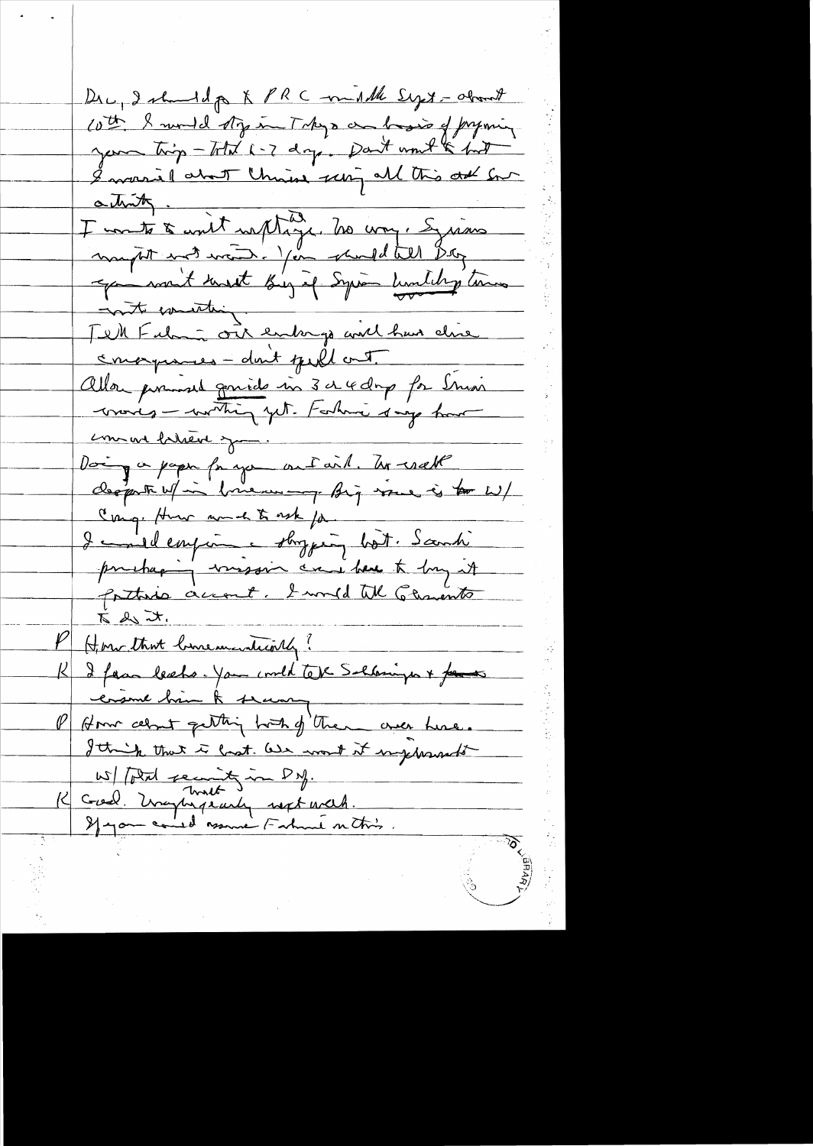Dre, I should go & PRC multhe Syst-about cott & mond sty in Takys an besir of pryming your trip - Total 6-7 days. Dan't won't to find I would about this series all this out for attritte à unit naptage. No vous à grains Tell Fulmin out entergy aid huis clime conorgiones - don't geill out. Allon pouvoir genier in 3 a 4 days for Smain words - writing yet. Farhow say how comment between you. Doing a paper for you out aid. To reall Cong. How and to ask for I coulemprine shopping bot. Sambi prehaging vissoir can bene to by it 5 2 7. Home that binementionly? K I faan beeks. You could tope Solarings + faces ersure bin A seary P Home celout getting host of them over here. I think that is last. We want it ingerments 15/ Potal second in DM.<br>1< Good. Unaphysically sept uncld.<br>If you could assume Fature on this.